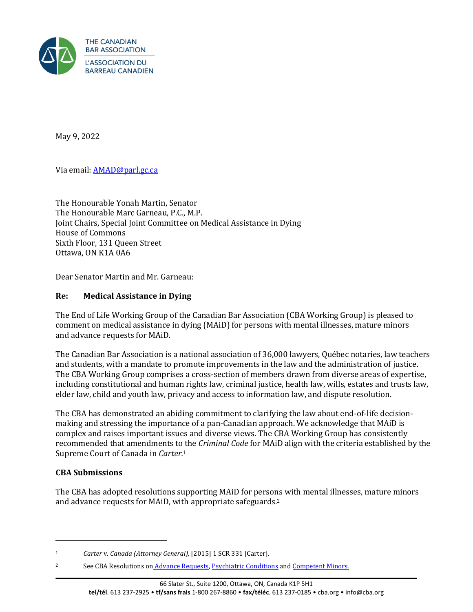

May 9, 2022

Via email[: AMAD@parl.gc.ca](mailto:AMAD@parl.gc.ca)

The Honourable Yonah Martin, Senator The Honourable Marc Garneau, P.C., M.P. Joint Chairs, Special Joint Committee on Medical Assistance in Dying House of Commons Sixth Floor, 131 Queen Street Ottawa, ON K1A 0A6

Dear Senator Martin and Mr. Garneau:

# **Re: Medical Assistance in Dying**

The End of Life Working Group of the Canadian Bar Association (CBA Working Group) is pleased to comment on medical assistance in dying (MAiD) for persons with mental illnesses, mature minors and advance requests for MAiD.

The Canadian Bar Association is a national association of 36,000 lawyers, Québec notaries, law teachers and students, with a mandate to promote improvements in the law and the administration of justice. The CBA Working Group comprises a cross-section of members drawn from diverse areas of expertise, including constitutional and human rights law, criminal justice, health law, wills, estates and trusts law, elder law, child and youth law, privacy and access to information law, and dispute resolution.

The CBA has demonstrated an abiding commitment to clarifying the law about end-of-life decisionmaking and stressing the importance of a pan-Canadian approach. We acknowledge that MAiD is complex and raises important issues and diverse views. The CBA Working Group has consistently recommended that amendments to the *Criminal Code* for MAiD align with the criteria established by the Supreme Court of Canada in *Carter.*<sup>1</sup>

# **CBA Submissions**

The CBA has adopted resolutions supporting MAiD for persons with mental illnesses, mature minors and advance requests for MAiD, with appropriate safeguards.<sup>2</sup>

<sup>1</sup> *Carter* v. *Canada (Attorney General),* [2015] 1 SCR 331 [Carter].

<sup>&</sup>lt;sup>2</sup> See CBA Resolutions on [Advance Requests,](http://www.cba.org/Our-Work/Resolutions/Resolutions/2016/Advance-Requests-for-Medical-Assistance-in-Dying) [Psychiatric Conditions](http://www.cba.org/Our-Work/Resolutions/Resolutions/2016/Medical-Assistance-in-Dying-and-Psychiatric-Condit) an[d Competent Minors.](http://www.cba.org/Our-Work/Resolutions/Resolutions/2016/Medical-Assistance-in-Dying-for-Competent-Minors)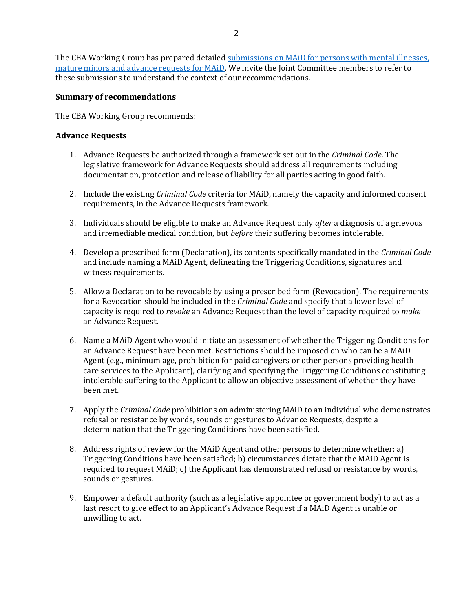The CBA Working Group has prepared detailed submissions on MAiD for persons with mental illnesses, [mature minors and advance requests for MAiD.](https://www.cba.org/CMSPages/GetFile.aspx?guid=17faab8e-6087-40bc-9043-b7c9a62446b7) We invite the Joint Committee members to refer to these submissions to understand the context of our recommendations.

### **Summary of recommendations**

The CBA Working Group recommends:

### **Advance Requests**

- 1. Advance Requests be authorized through a framework set out in the *Criminal Code*. The legislative framework for Advance Requests should address all requirements including documentation, protection and release of liability for all parties acting in good faith.
- 2. Include the existing *Criminal Code* criteria for MAiD, namely the capacity and informed consent requirements, in the Advance Requests framework.
- 3. Individuals should be eligible to make an Advance Request only *after* a diagnosis of a grievous and irremediable medical condition, but *before* their suffering becomes intolerable.
- 4. Develop a prescribed form (Declaration), its contents specifically mandated in the *Criminal Code* and include naming a MAiD Agent, delineating the Triggering Conditions, signatures and witness requirements.
- 5. Allow a Declaration to be revocable by using a prescribed form (Revocation). The requirements for a Revocation should be included in the *Criminal Code* and specify that a lower level of capacity is required to *revoke* an Advance Request than the level of capacity required to *make* an Advance Request.
- 6. Name a MAiD Agent who would initiate an assessment of whether the Triggering Conditions for an Advance Request have been met. Restrictions should be imposed on who can be a MAiD Agent (e.g., minimum age, prohibition for paid caregivers or other persons providing health care services to the Applicant), clarifying and specifying the Triggering Conditions constituting intolerable suffering to the Applicant to allow an objective assessment of whether they have been met.
- 7. Apply the *Criminal Code* prohibitions on administering MAiD to an individual who demonstrates refusal or resistance by words, sounds or gestures to Advance Requests, despite a determination that the Triggering Conditions have been satisfied.
- 8. Address rights of review for the MAiD Agent and other persons to determine whether: a) Triggering Conditions have been satisfied; b) circumstances dictate that the MAiD Agent is required to request MAiD; c) the Applicant has demonstrated refusal or resistance by words, sounds or gestures.
- 9. Empower a default authority (such as a legislative appointee or government body) to act as a last resort to give effect to an Applicant's Advance Request if a MAiD Agent is unable or unwilling to act.